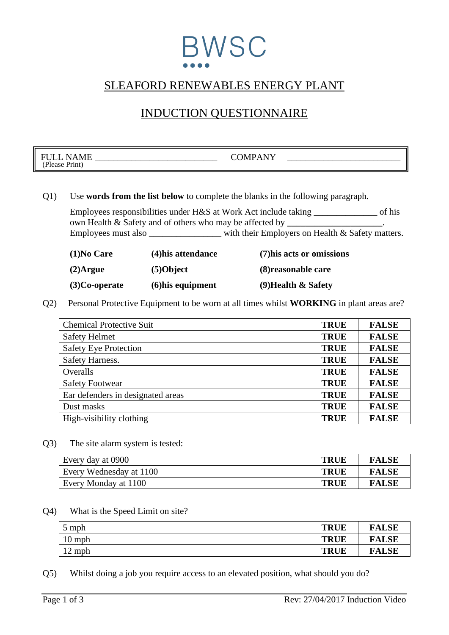## BWSC

## SLEAFORD RENEWABLES ENERGY PLANT

### INDUCTION QUESTIONNAIRE

| $-$<br>᠇᠇<br>N<br>N<br>****<br>$\mathbf{r}$ .<br>$^{\circ}$ D1<br>'lease<br>rınt- | $\lambda$ $\lambda$ $\tau$ $\tau$<br>$\sim$ $\sim$ $\sim$<br>) N/I<br>$\overline{\phantom{a}}$<br>- |
|-----------------------------------------------------------------------------------|-----------------------------------------------------------------------------------------------------|
|                                                                                   |                                                                                                     |

#### Q1) Use **words from the list below** to complete the blanks in the following paragraph.

Employees responsibilities under H&S at Work Act include taking **\_\_\_\_\_\_\_\_\_\_\_\_\_\_** of his own Health & Safety and of others who may be affected by **\_\_\_\_\_\_\_\_\_\_\_\_\_\_\_\_\_\_\_\_\_**. Employees must also **\_\_\_\_\_\_\_\_\_\_\_\_\_** with their Employers on Health & Safety matters.

| $(1)$ No Care    | (4) his attendance  | (7) his acts or omissions |
|------------------|---------------------|---------------------------|
| $(2)$ Argue      | $(5)$ Object        | (8) reasonable care       |
| $(3)$ Co-operate | $(6)$ his equipment | $(9)$ Health & Safety     |

Q2) Personal Protective Equipment to be worn at all times whilst **WORKING** in plant areas are?

| <b>Chemical Protective Suit</b>   | <b>TRUE</b> | <b>FALSE</b> |
|-----------------------------------|-------------|--------------|
| <b>Safety Helmet</b>              | <b>TRUE</b> | <b>FALSE</b> |
| <b>Safety Eye Protection</b>      | <b>TRUE</b> | <b>FALSE</b> |
| Safety Harness.                   | <b>TRUE</b> | <b>FALSE</b> |
| Overalls                          | <b>TRUE</b> | <b>FALSE</b> |
| <b>Safety Footwear</b>            | <b>TRUE</b> | <b>FALSE</b> |
| Ear defenders in designated areas | <b>TRUE</b> | <b>FALSE</b> |
| Dust masks                        | <b>TRUE</b> | <b>FALSE</b> |
| High-visibility clothing          | <b>TRUE</b> | <b>FALSE</b> |

Q3) The site alarm system is tested:

| Every day at 0900       | <b>TRUE</b> | <b>FALSE</b> |
|-------------------------|-------------|--------------|
| Every Wednesday at 1100 | <b>TRUE</b> | <b>FALSE</b> |
| Every Monday at 1100    | <b>TRUE</b> | <b>FALSE</b> |

#### Q4) What is the Speed Limit on site?

| $5 \text{ mph}$ | <b>TRUE</b> | <b>FALSE</b> |
|-----------------|-------------|--------------|
| $10$ mph        | <b>TRUE</b> | <b>FALSE</b> |
| $12$ mph        | <b>TRUE</b> | <b>FALSE</b> |

Q5) Whilst doing a job you require access to an elevated position, what should you do?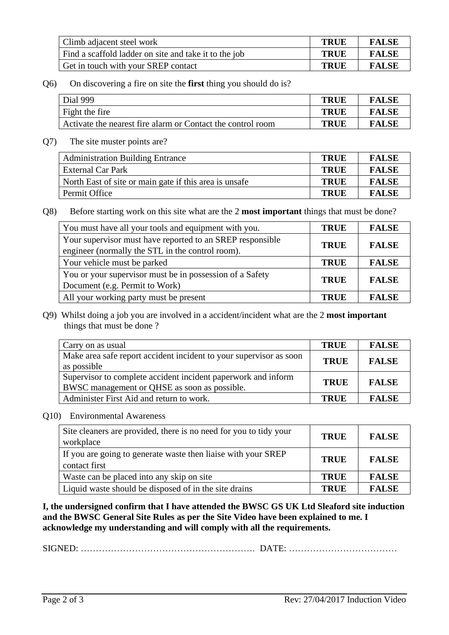| Climb adjacent steel work                             | <b>TRUE</b> | <b>FALSE</b> |
|-------------------------------------------------------|-------------|--------------|
| Find a scaffold ladder on site and take it to the job | <b>TRUE</b> | <b>FALSE</b> |
| Get in touch with your SREP contact                   | TRUE        | <b>FALSE</b> |

Q6) On discovering a fire on site the **first** thing you should do is?

| Dial 999                                                    | <b>TRUF</b> | <b>FALSE</b> |
|-------------------------------------------------------------|-------------|--------------|
| Fight the fire                                              | <b>TRUE</b> | <b>FALSE</b> |
| Activate the nearest fire alarm or Contact the control room | <b>TRUE</b> | <b>FALSE</b> |

Q7) The site muster points are?

| <b>Administration Building Entrance</b>                | <b>TRUE</b> | <b>FALSE</b> |
|--------------------------------------------------------|-------------|--------------|
| <b>External Car Park</b>                               | <b>TRUE</b> | <b>FALSE</b> |
| North East of site or main gate if this area is unsafe | TRUE        | <b>FALSE</b> |
| Permit Office                                          | TRUE        | <b>FALSE</b> |

Q8) Before starting work on this site what are the 2 **most important** things that must be done?

| You must have all your tools and equipment with you.      | <b>TRUE</b> | <b>FALSE</b> |
|-----------------------------------------------------------|-------------|--------------|
| Your supervisor must have reported to an SREP responsible | <b>TRUE</b> | <b>FALSE</b> |
| engineer (normally the STL in the control room).          |             |              |
| Your vehicle must be parked                               | <b>TRUE</b> | <b>FALSE</b> |
| You or your supervisor must be in possession of a Safety  |             | <b>FALSE</b> |
| Document (e.g. Permit to Work)                            | <b>TRUE</b> |              |
| All your working party must be present                    | <b>TRUE</b> | <b>FALSE</b> |

Q9) Whilst doing a job you are involved in a accident/incident what are the 2 **most important** things that must be done ?

| Carry on as usual                                                                                             | <b>TRUE</b> | <b>FALSE</b> |
|---------------------------------------------------------------------------------------------------------------|-------------|--------------|
| Make area safe report accident incident to your supervisor as soon<br>as possible                             | <b>TRUE</b> | <b>FALSE</b> |
| Supervisor to complete accident incident paperwork and inform<br>BWSC management or QHSE as soon as possible. | <b>TRUE</b> | <b>FALSE</b> |
| Administer First Aid and return to work.                                                                      | <b>TRUE</b> | <b>FALSE</b> |

Q10) Environmental Awareness

| Site cleaners are provided, there is no need for you to tidy your<br>workplace | <b>TRUE</b> | <b>FALSE</b> |
|--------------------------------------------------------------------------------|-------------|--------------|
| If you are going to generate waste then liaise with your SREP<br>contact first | <b>TRUE</b> | <b>FALSE</b> |
| Waste can be placed into any skip on site                                      | <b>TRUE</b> | <b>FALSE</b> |
| Liquid waste should be disposed of in the site drains                          | <b>TRUE</b> | <b>FALSE</b> |

**I, the undersigned confirm that I have attended the BWSC GS UK Ltd Sleaford site induction and the BWSC General Site Rules as per the Site Video have been explained to me. I acknowledge my understanding and will comply with all the requirements.** 

SIGNED: …………………………………………………. DATE: ………………………………